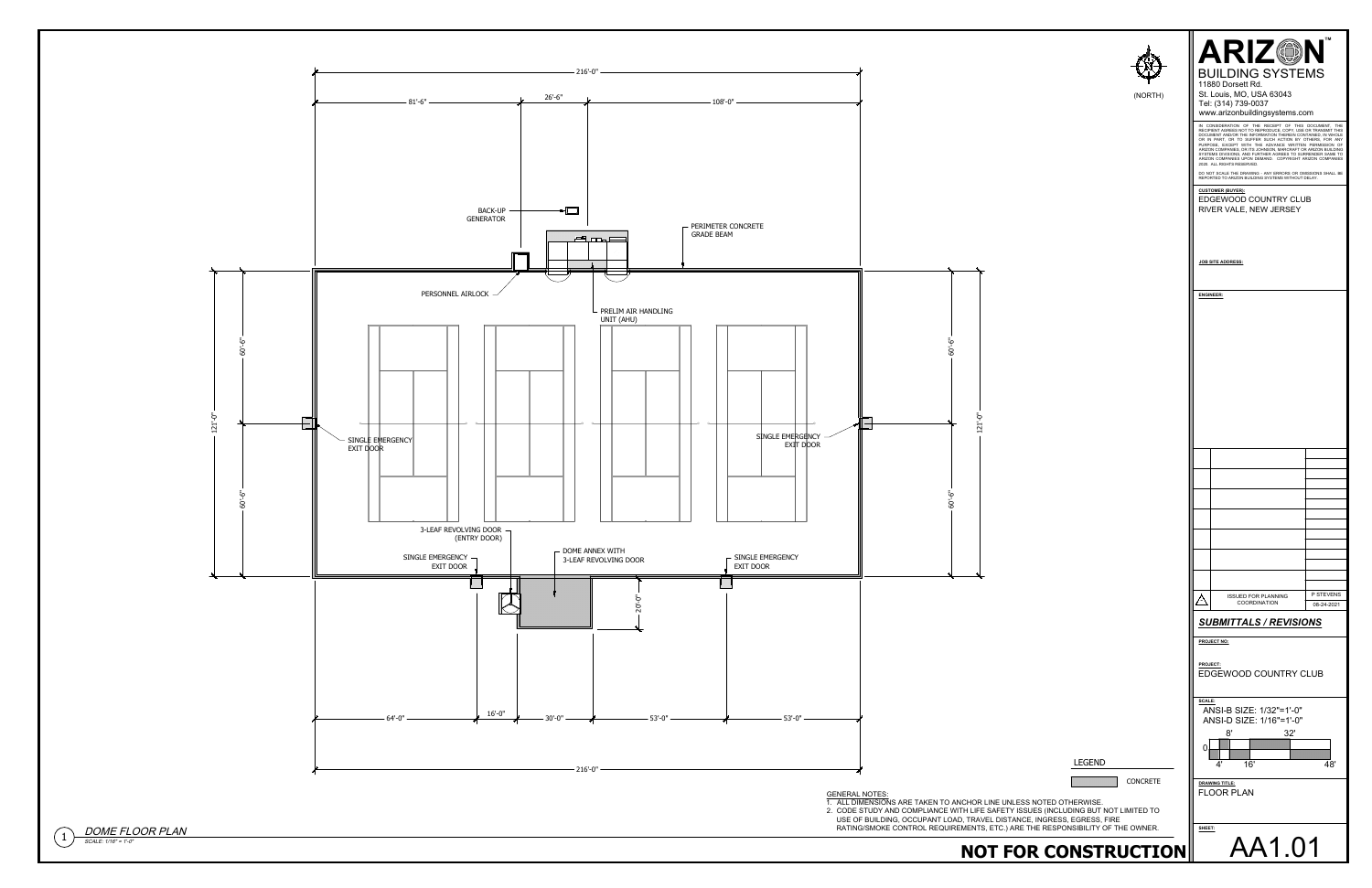| <b>ARIZ®N</b><br><b>BUILDING SYSTEMS</b><br>11880 Dorsett Rd.<br>St. Louis, MO, USA 63043<br>(NORTH)<br>Tel: (314) 739-0037<br>www.arizonbuildingsystems.com<br>IN CONSIDERATION OF THE RECEIPT OF THIS DOCUMENT, THE<br>RECIPIENT AGREES NOT TO REPRODUCE, COPY, USE OR TRANSMIT THIS<br>DOCUMENT AND/OR THE INFORMATION THEREIN CONTAINED, IN WHOLE<br>OR IN PART, OR TO SUFFER SUCH ACTION BY OTHERS, FOR ANY<br>PURPOSE, EXCEPT WITH THE ADVANCE WRITTEN PERMISSION OF<br>2020. ALL RIGHTS RESERVED.<br>REPORTED TO ARIZON BUILDING SYSTEMS WITHOUT DELAY.<br><b>CUSTOMER (BUYER):</b><br>EDGEWOOD COUNTRY CLUB<br>RIVER VALE, NEW JERSEY<br><b>JOB SITE ADDRESS:</b><br><b>ENGINEER:</b><br>$60 - 6$ "<br>$121'-0''$<br>60'-6"<br>P STEVENS<br><b>ISSUED FOR PLANNING</b><br><u>Δ</u><br>COORDINATION<br>08-24-2021<br><b>SUBMITTALS / REVISIONS</b><br><b>PROJECT NO:</b><br>PROJECT:<br>EDGEWOOD COUNTRY CLUB<br>SCALE:<br>ANSI-B SIZE: 1/32"=1'-0"<br>ANSI-D SIZE: 1/16"=1'-0"<br>8'<br>32'<br>01<br><b>LEGEND</b><br>16'<br>48'<br>4'<br>CONCRETE<br><b>DRAWING TITLE:</b><br><b>FLOOR PLAN</b><br><b>GENERAL NOTES:</b><br>1. ALL DIMENSIONS ARE TAKEN TO ANCHOR LINE UNLESS NOTED OTHERWISE.<br>2. CODE STUDY AND COMPLIANCE WITH LIFE SAFETY ISSUES (INCLUDING BUT NOT LIMITED TO<br>USE OF BUILDING, OCCUPANT LOAD, TRAVEL DISTANCE, INGRESS, EGRESS, FIRE<br>RATING/SMOKE CONTROL REQUIREMENTS, ETC.) ARE THE RESPONSIBILITY OF THE OWNER.<br>SHEET:<br>AA1.01 |                                                                                                                                                                                                                                                        |
|------------------------------------------------------------------------------------------------------------------------------------------------------------------------------------------------------------------------------------------------------------------------------------------------------------------------------------------------------------------------------------------------------------------------------------------------------------------------------------------------------------------------------------------------------------------------------------------------------------------------------------------------------------------------------------------------------------------------------------------------------------------------------------------------------------------------------------------------------------------------------------------------------------------------------------------------------------------------------------------------------------------------------------------------------------------------------------------------------------------------------------------------------------------------------------------------------------------------------------------------------------------------------------------------------------------------------------------------------------------------------------------------------------------------------------------------------------------------------|--------------------------------------------------------------------------------------------------------------------------------------------------------------------------------------------------------------------------------------------------------|
|                                                                                                                                                                                                                                                                                                                                                                                                                                                                                                                                                                                                                                                                                                                                                                                                                                                                                                                                                                                                                                                                                                                                                                                                                                                                                                                                                                                                                                                                              | ARIZON COMPANIES, OR ITS JOHNSON, MARCRAFT OR ARIZON BUILDING<br>SYSTEMS DIVISIONS, AND FURTHER AGREES TO SURRENDER SAME TO<br>ARIZON COMPANIES UPON DEMAND. COPYRIGHT ARIZON COMPANIES<br>DO NOT SCALE THE DRAWING - ANY ERRORS OR OMISSIONS SHALL BE |
|                                                                                                                                                                                                                                                                                                                                                                                                                                                                                                                                                                                                                                                                                                                                                                                                                                                                                                                                                                                                                                                                                                                                                                                                                                                                                                                                                                                                                                                                              |                                                                                                                                                                                                                                                        |
|                                                                                                                                                                                                                                                                                                                                                                                                                                                                                                                                                                                                                                                                                                                                                                                                                                                                                                                                                                                                                                                                                                                                                                                                                                                                                                                                                                                                                                                                              |                                                                                                                                                                                                                                                        |



 $\bigcap_{s \text{CALE: } 1/16^* = 1^{\circ}0^*} DOME$  FLOOR PLAN  $SCALE: 1/16" = 1'-0"$